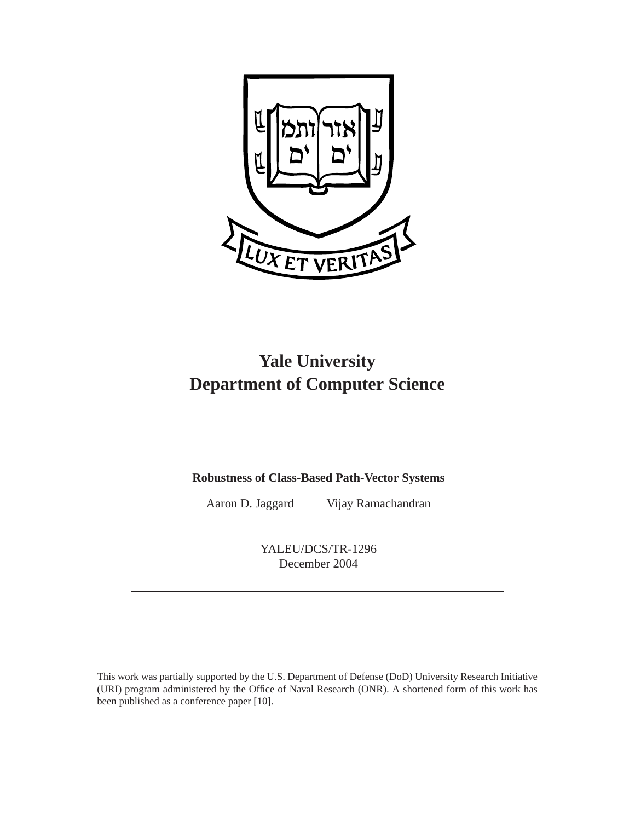

# **Yale University Department of Computer Science**

## **Robustness of Class-Based Path-Vector Systems**

Aaron D. Jaggard Vijay Ramachandran

YALEU/DCS/TR-1296 December 2004

This work was partially supported by the U.S. Department of Defense (DoD) University Research Initiative (URI) program administered by the Office of Naval Research (ONR). A shortened form of this work has been published as a conference paper [10].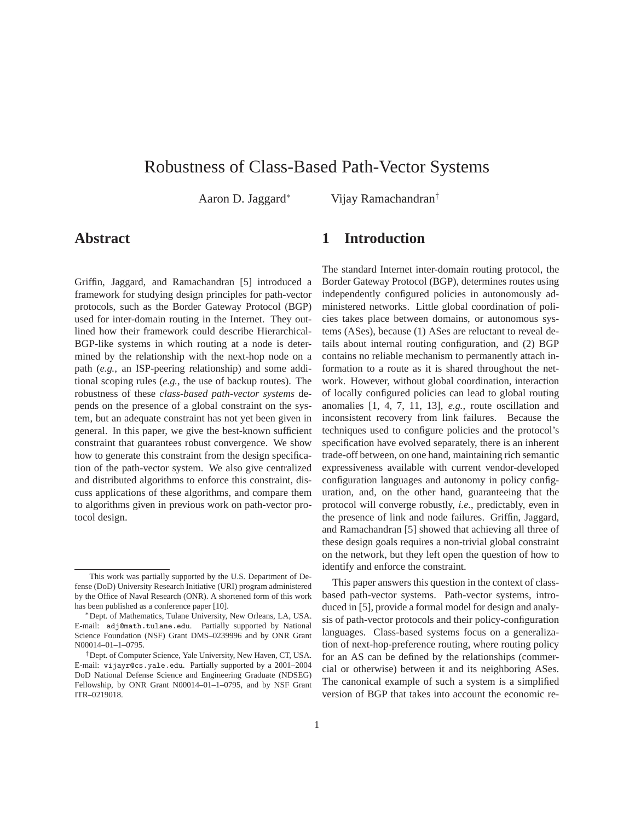# Robustness of Class-Based Path-Vector Systems

Aaron D. Jaggard<sup>∗</sup> Vijay Ramachandran†

# **Abstract**

Griffin, Jaggard, and Ramachandran [5] introduced a framework for studying design principles for path-vector protocols, such as the Border Gateway Protocol (BGP) used for inter-domain routing in the Internet. They outlined how their framework could describe Hierarchical-BGP-like systems in which routing at a node is determined by the relationship with the next-hop node on a path (*e.g.*, an ISP-peering relationship) and some additional scoping rules (*e.g.*, the use of backup routes). The robustness of these *class-based path-vector systems* depends on the presence of a global constraint on the system, but an adequate constraint has not yet been given in general. In this paper, we give the best-known sufficient constraint that guarantees robust convergence. We show how to generate this constraint from the design specification of the path-vector system. We also give centralized and distributed algorithms to enforce this constraint, discuss applications of these algorithms, and compare them to algorithms given in previous work on path-vector protocol design.

# **1 Introduction**

The standard Internet inter-domain routing protocol, the Border Gateway Protocol (BGP), determines routes using independently configured policies in autonomously administered networks. Little global coordination of policies takes place between domains, or autonomous systems (ASes), because (1) ASes are reluctant to reveal details about internal routing configuration, and (2) BGP contains no reliable mechanism to permanently attach information to a route as it is shared throughout the network. However, without global coordination, interaction of locally configured policies can lead to global routing anomalies [1, 4, 7, 11, 13], *e.g.*, route oscillation and inconsistent recovery from link failures. Because the techniques used to configure policies and the protocol's specification have evolved separately, there is an inherent trade-off between, on one hand, maintaining rich semantic expressiveness available with current vendor-developed configuration languages and autonomy in policy configuration, and, on the other hand, guaranteeing that the protocol will converge robustly, *i.e.*, predictably, even in the presence of link and node failures. Griffin, Jaggard, and Ramachandran [5] showed that achieving all three of these design goals requires a non-trivial global constraint on the network, but they left open the question of how to identify and enforce the constraint.

This paper answers this question in the context of classbased path-vector systems. Path-vector systems, introduced in [5], provide a formal model for design and analysis of path-vector protocols and their policy-configuration languages. Class-based systems focus on a generalization of next-hop-preference routing, where routing policy for an AS can be defined by the relationships (commercial or otherwise) between it and its neighboring ASes. The canonical example of such a system is a simplified version of BGP that takes into account the economic re-

This work was partially supported by the U.S. Department of Defense (DoD) University Research Initiative (URI) program administered by the Office of Naval Research (ONR). A shortened form of this work has been published as a conference paper [10].

<sup>∗</sup>Dept. of Mathematics, Tulane University, New Orleans, LA, USA. E-mail: adj@math.tulane.edu. Partially supported by National Science Foundation (NSF) Grant DMS–0239996 and by ONR Grant N00014–01–1–0795.

<sup>†</sup>Dept. of Computer Science, Yale University, New Haven, CT, USA. E-mail: vijayr@cs.yale.edu. Partially supported by a 2001–2004 DoD National Defense Science and Engineering Graduate (NDSEG) Fellowship, by ONR Grant N00014–01–1–0795, and by NSF Grant ITR–0219018.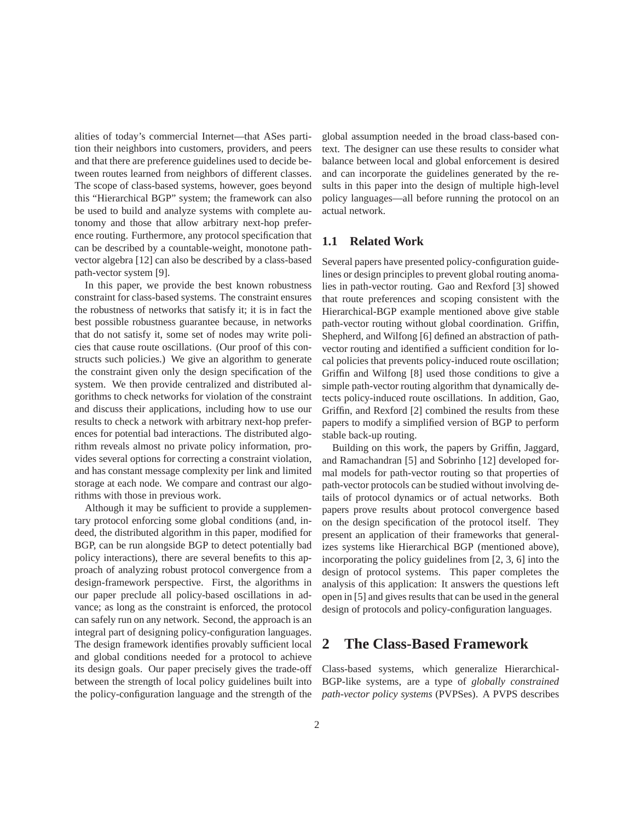alities of today's commercial Internet—that ASes partition their neighbors into customers, providers, and peers and that there are preference guidelines used to decide between routes learned from neighbors of different classes. The scope of class-based systems, however, goes beyond this "Hierarchical BGP" system; the framework can also be used to build and analyze systems with complete autonomy and those that allow arbitrary next-hop preference routing. Furthermore, any protocol specification that can be described by a countable-weight, monotone pathvector algebra [12] can also be described by a class-based path-vector system [9].

In this paper, we provide the best known robustness constraint for class-based systems. The constraint ensures the robustness of networks that satisfy it; it is in fact the best possible robustness guarantee because, in networks that do not satisfy it, some set of nodes may write policies that cause route oscillations. (Our proof of this constructs such policies.) We give an algorithm to generate the constraint given only the design specification of the system. We then provide centralized and distributed algorithms to check networks for violation of the constraint and discuss their applications, including how to use our results to check a network with arbitrary next-hop preferences for potential bad interactions. The distributed algorithm reveals almost no private policy information, provides several options for correcting a constraint violation, and has constant message complexity per link and limited storage at each node. We compare and contrast our algorithms with those in previous work.

Although it may be sufficient to provide a supplementary protocol enforcing some global conditions (and, indeed, the distributed algorithm in this paper, modified for BGP, can be run alongside BGP to detect potentially bad policy interactions), there are several benefits to this approach of analyzing robust protocol convergence from a design-framework perspective. First, the algorithms in our paper preclude all policy-based oscillations in advance; as long as the constraint is enforced, the protocol can safely run on any network. Second, the approach is an integral part of designing policy-configuration languages. The design framework identifies provably sufficient local and global conditions needed for a protocol to achieve its design goals. Our paper precisely gives the trade-off between the strength of local policy guidelines built into the policy-configuration language and the strength of the global assumption needed in the broad class-based context. The designer can use these results to consider what balance between local and global enforcement is desired and can incorporate the guidelines generated by the results in this paper into the design of multiple high-level policy languages—all before running the protocol on an actual network.

#### **1.1 Related Work**

Several papers have presented policy-configuration guidelines or design principles to prevent global routing anomalies in path-vector routing. Gao and Rexford [3] showed that route preferences and scoping consistent with the Hierarchical-BGP example mentioned above give stable path-vector routing without global coordination. Griffin, Shepherd, and Wilfong [6] defined an abstraction of pathvector routing and identified a sufficient condition for local policies that prevents policy-induced route oscillation; Griffin and Wilfong [8] used those conditions to give a simple path-vector routing algorithm that dynamically detects policy-induced route oscillations. In addition, Gao, Griffin, and Rexford [2] combined the results from these papers to modify a simplified version of BGP to perform stable back-up routing.

Building on this work, the papers by Griffin, Jaggard, and Ramachandran [5] and Sobrinho [12] developed formal models for path-vector routing so that properties of path-vector protocols can be studied without involving details of protocol dynamics or of actual networks. Both papers prove results about protocol convergence based on the design specification of the protocol itself. They present an application of their frameworks that generalizes systems like Hierarchical BGP (mentioned above), incorporating the policy guidelines from [2, 3, 6] into the design of protocol systems. This paper completes the analysis of this application: It answers the questions left open in [5] and gives results that can be used in the general design of protocols and policy-configuration languages.

### **2 The Class-Based Framework**

Class-based systems, which generalize Hierarchical-BGP-like systems, are a type of *globally constrained path-vector policy systems* (PVPSes). A PVPS describes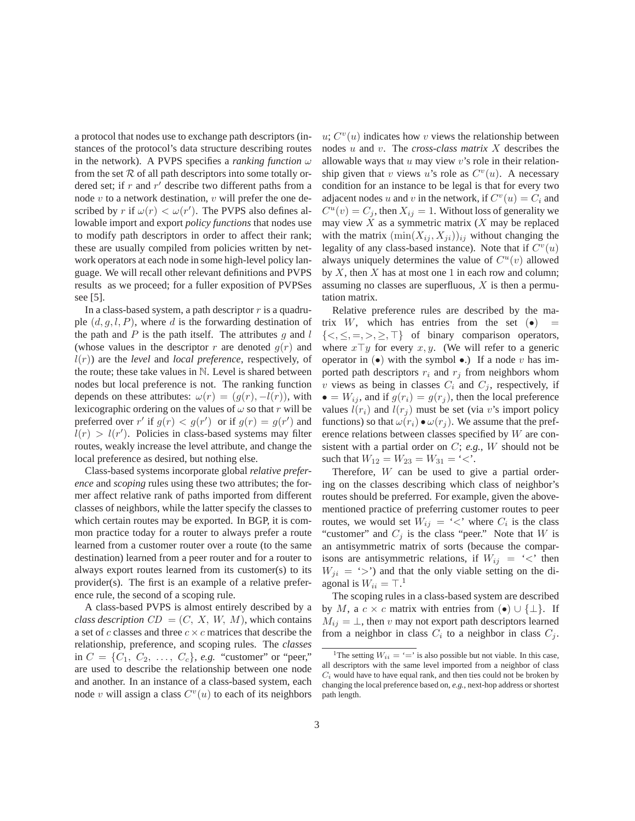a protocol that nodes use to exchange path descriptors (instances of the protocol's data structure describing routes in the network). A PVPS specifies a *ranking function*  $\omega$ from the set  $R$  of all path descriptors into some totally ordered set; if r and  $r'$  describe two different paths from a node  $v$  to a network destination,  $v$  will prefer the one described by r if  $\omega(r) < \omega(r')$ . The PVPS also defines allowable import and export *policy functions* that nodes use to modify path descriptors in order to affect their rank; these are usually compiled from policies written by network operators at each node in some high-level policy language. We will recall other relevant definitions and PVPS results as we proceed; for a fuller exposition of PVPSes see [5].

In a class-based system, a path descriptor  $r$  is a quadruple  $(d, q, l, P)$ , where d is the forwarding destination of the path and  $P$  is the path itself. The attributes  $g$  and  $l$ (whose values in the descriptor r are denoted  $q(r)$  and l(r)) are the *level* and *local preference*, respectively, of the route; these take values in N. Level is shared between nodes but local preference is not. The ranking function depends on these attributes:  $\omega(r)=(g(r), -l(r))$ , with lexicographic ordering on the values of  $\omega$  so that r will be preferred over r' if  $g(r) < g(r')$  or if  $g(r) = g(r')$  and  $l(r) > l(r')$ . Policies in class-based systems may filter routes, weakly increase the level attribute, and change the local preference as desired, but nothing else.

Class-based systems incorporate global *relative preference* and *scoping* rules using these two attributes; the former affect relative rank of paths imported from different classes of neighbors, while the latter specify the classes to which certain routes may be exported. In BGP, it is common practice today for a router to always prefer a route learned from a customer router over a route (to the same destination) learned from a peer router and for a router to always export routes learned from its customer(s) to its provider(s). The first is an example of a relative preference rule, the second of a scoping rule.

A class-based PVPS is almost entirely described by a *class description*  $CD = (C, X, W, M)$ , which contains a set of c classes and three  $c \times c$  matrices that describe the relationship, preference, and scoping rules. The *classes* in  $C = \{C_1, C_2, \ldots, C_c\}$ , *e.g.* "customer" or "peer," are used to describe the relationship between one node and another. In an instance of a class-based system, each node v will assign a class  $C<sup>v</sup>(u)$  to each of its neighbors  $u; C<sup>v</sup>(u)$  indicates how v views the relationship between nodes u and v. The *cross-class matrix* X describes the allowable ways that  $u$  may view  $v$ 's role in their relationship given that v views u's role as  $C<sup>v</sup>(u)$ . A necessary condition for an instance to be legal is that for every two adjacent nodes u and v in the network, if  $C^{v}(u) = C_i$  and  $C^u(v) = C_j$ , then  $X_{ij} = 1$ . Without loss of generality we may view  $X$  as a symmetric matrix  $(X \text{ may be replaced})$ with the matrix  $(\min(X_{ij}, X_{ji}))_{ij}$  without changing the legality of any class-based instance). Note that if  $C<sup>v</sup>(u)$ always uniquely determines the value of  $C^u(v)$  allowed by  $X$ , then  $X$  has at most one 1 in each row and column; assuming no classes are superfluous,  $X$  is then a permutation matrix.

Relative preference rules are described by the matrix W, which has entries from the set  $(\bullet)$  =  $\{<,\leq,=,>,\geq,\top\}$  of binary comparison operators, where  $x \top y$  for every  $x, y$ . (We will refer to a generic operator in  $\left( \bullet \right)$  with the symbol  $\bullet$ .) If a node v has imported path descriptors  $r_i$  and  $r_j$  from neighbors whom v views as being in classes  $C_i$  and  $C_j$ , respectively, if  $\bullet = W_{ij}$ , and if  $g(r_i) = g(r_j)$ , then the local preference values  $l(r_i)$  and  $l(r_j)$  must be set (via v's import policy functions) so that  $\omega(r_i) \bullet \omega(r_j)$ . We assume that the preference relations between classes specified by W are consistent with a partial order on C; *e.g.*, W should not be such that  $W_{12} = W_{23} = W_{31} = ' \lt'$ .

Therefore, W can be used to give a partial ordering on the classes describing which class of neighbor's routes should be preferred. For example, given the abovementioned practice of preferring customer routes to peer routes, we would set  $W_{ij} = \langle \langle \rangle$  where  $C_i$  is the class "customer" and  $C_j$  is the class "peer." Note that W is an antisymmetric matrix of sorts (because the comparisons are antisymmetric relations, if  $W_{ij} = \langle \cdot \rangle$  then  $W_{ii} = '>}'$  and that the only viable setting on the diagonal is  $W_{ii} = \top$ .<sup>1</sup>

The scoping rules in a class-based system are described by M, a  $c \times c$  matrix with entries from  $(\bullet) \cup {\{\perp\}}$ . If  $M_{ij} = \perp$ , then v may not export path descriptors learned from a neighbor in class  $C_i$  to a neighbor in class  $C_i$ .

<sup>&</sup>lt;sup>1</sup>The setting  $W_{ii} = \dot{ } = \dot{ }$  is also possible but not viable. In this case, all descriptors with the same level imported from a neighbor of class  $C_i$  would have to have equal rank, and then ties could not be broken by changing the local preference based on, *e.g.*, next-hop address or shortest path length.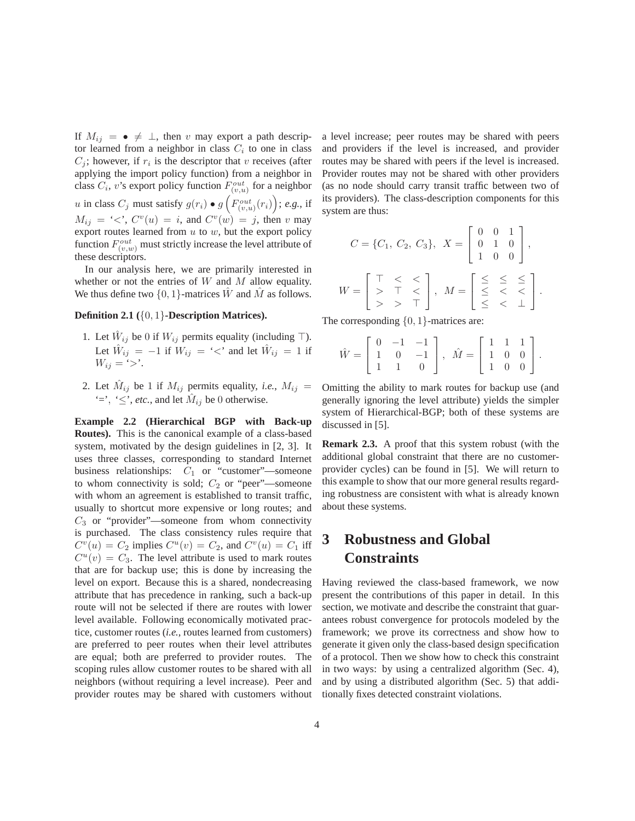If  $M_{ij} = \bullet \neq \bot$ , then v may export a path descriptor learned from a neighbor in class  $C_i$  to one in class  $C_i$ ; however, if  $r_i$  is the descriptor that v receives (after applying the import policy function) from a neighbor in class  $C_i$ , v's export policy function  $F_{(v,u)}^{out}$  for a neighbor  $u$  in class  $C_j$  must satisfy  $g(r_i) \bullet g\left(F_{(v,u)}^{out}(r_i)\right);$  e.g., if  $M_{ij} = \langle \langle \cdot, C^v(u) \rangle = i$ , and  $C^v(w) = j$ , then v may export routes learned from  $u$  to  $w$ , but the export policy function  $F_{(v,w)}^{out}$  must strictly increase the level attribute of these descriptors.

In our analysis here, we are primarily interested in whether or not the entries of  $W$  and  $M$  allow equality. We thus define two  $\{0, 1\}$ -matrices  $\hat{W}$  and  $\hat{M}$  as follows.

#### **Definition 2.1 (**{0, 1}**-Description Matrices).**

- 1. Let  $\hat{W}_{ij}$  be 0 if  $W_{ij}$  permits equality (including  $\top$ ). Let  $\hat{W}_{ij} = -1$  if  $W_{ij} = \langle \cdot \rangle$  and let  $\hat{W}_{ij} = 1$  if  $W_{ij} = \sum$ .
- 2. Let  $\hat{M}_{ij}$  be 1 if  $M_{ij}$  permits equality, *i.e.*,  $M_{ij}$  = '=', ' $\leq$ ', *etc.*, and let  $\hat{M}_{ij}$  be 0 otherwise.

**Example 2.2 (Hierarchical BGP with Back-up Routes).** This is the canonical example of a class-based system, motivated by the design guidelines in [2, 3]. It uses three classes, corresponding to standard Internet business relationships:  $C_1$  or "customer"—someone to whom connectivity is sold;  $C_2$  or "peer"—someone with whom an agreement is established to transit traffic, usually to shortcut more expensive or long routes; and  $C_3$  or "provider"—someone from whom connectivity is purchased. The class consistency rules require that  $C<sup>v</sup>(u) = C<sub>2</sub>$  implies  $C<sup>u</sup>(v) = C<sub>2</sub>$ , and  $C<sup>v</sup>(u) = C<sub>1</sub>$  iff  $C^u(v) = C_3$ . The level attribute is used to mark routes that are for backup use; this is done by increasing the level on export. Because this is a shared, nondecreasing attribute that has precedence in ranking, such a back-up route will not be selected if there are routes with lower level available. Following economically motivated practice, customer routes (*i.e.*, routes learned from customers) are preferred to peer routes when their level attributes are equal; both are preferred to provider routes. The scoping rules allow customer routes to be shared with all neighbors (without requiring a level increase). Peer and provider routes may be shared with customers without a level increase; peer routes may be shared with peers and providers if the level is increased, and provider routes may be shared with peers if the level is increased. Provider routes may not be shared with other providers (as no node should carry transit traffic between two of its providers). The class-description components for this system are thus:

$$
C = \{C_1, C_2, C_3\}, \quad X = \begin{bmatrix} 0 & 0 & 1 \\ 0 & 1 & 0 \\ 1 & 0 & 0 \end{bmatrix},
$$

$$
W = \begin{bmatrix} \top < < \\ > & \top < \\ > > & \top \end{bmatrix}, \quad M = \begin{bmatrix} \leq < < \\ \leq < < \\ < < < \\ < < < \end{bmatrix}.
$$

The corresponding  $\{0, 1\}$ -matrices are:

$$
\hat{W} = \left[ \begin{array}{ccc} 0 & -1 & -1 \\ 1 & 0 & -1 \\ 1 & 1 & 0 \end{array} \right], \ \hat{M} = \left[ \begin{array}{ccc} 1 & 1 & 1 \\ 1 & 0 & 0 \\ 1 & 0 & 0 \end{array} \right].
$$

Omitting the ability to mark routes for backup use (and generally ignoring the level attribute) yields the simpler system of Hierarchical-BGP; both of these systems are discussed in [5].

**Remark 2.3.** A proof that this system robust (with the additional global constraint that there are no customerprovider cycles) can be found in [5]. We will return to this example to show that our more general results regarding robustness are consistent with what is already known about these systems.

# **3 Robustness and Global Constraints**

Having reviewed the class-based framework, we now present the contributions of this paper in detail. In this section, we motivate and describe the constraint that guarantees robust convergence for protocols modeled by the framework; we prove its correctness and show how to generate it given only the class-based design specification of a protocol. Then we show how to check this constraint in two ways: by using a centralized algorithm (Sec. 4), and by using a distributed algorithm (Sec. 5) that additionally fixes detected constraint violations.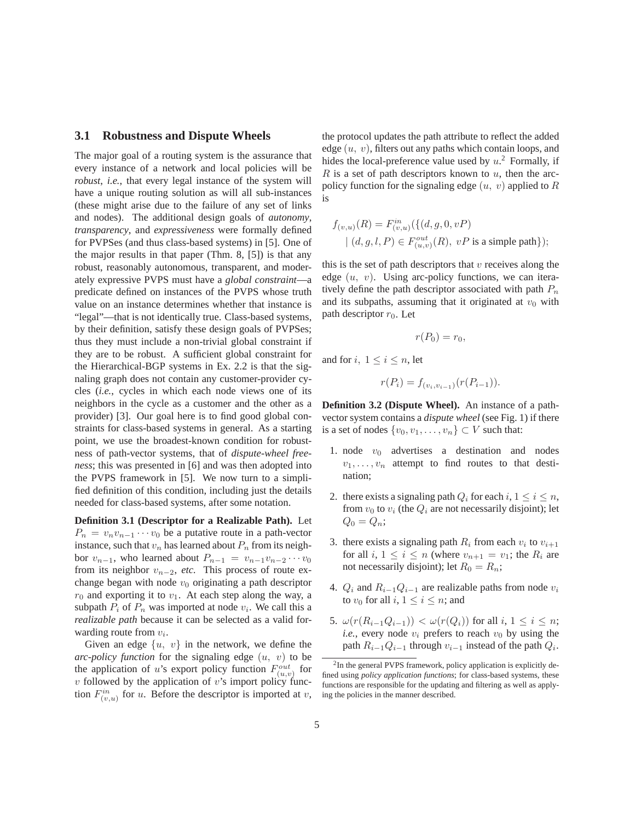#### **3.1 Robustness and Dispute Wheels**

The major goal of a routing system is the assurance that every instance of a network and local policies will be *robust*, *i.e.*, that every legal instance of the system will have a unique routing solution as will all sub-instances (these might arise due to the failure of any set of links and nodes). The additional design goals of *autonomy*, *transparency*, and *expressiveness* were formally defined for PVPSes (and thus class-based systems) in [5]. One of the major results in that paper (Thm. 8, [5]) is that any robust, reasonably autonomous, transparent, and moderately expressive PVPS must have a *global constraint*—a predicate defined on instances of the PVPS whose truth value on an instance determines whether that instance is "legal"—that is not identically true. Class-based systems, by their definition, satisfy these design goals of PVPSes; thus they must include a non-trivial global constraint if they are to be robust. A sufficient global constraint for the Hierarchical-BGP systems in Ex. 2.2 is that the signaling graph does not contain any customer-provider cycles (*i.e.*, cycles in which each node views one of its neighbors in the cycle as a customer and the other as a provider) [3]. Our goal here is to find good global constraints for class-based systems in general. As a starting point, we use the broadest-known condition for robustness of path-vector systems, that of *dispute-wheel freeness*; this was presented in [6] and was then adopted into the PVPS framework in [5]. We now turn to a simplified definition of this condition, including just the details needed for class-based systems, after some notation.

**Definition 3.1 (Descriptor for a Realizable Path).** Let  $P_n = v_n v_{n-1} \cdots v_0$  be a putative route in a path-vector instance, such that  $v_n$  has learned about  $P_n$  from its neighbor  $v_{n-1}$ , who learned about  $P_{n-1} = v_{n-1}v_{n-2}\cdots v_0$ from its neighbor  $v_{n-2}$ , *etc.* This process of route exchange began with node  $v_0$  originating a path descriptor  $r_0$  and exporting it to  $v_1$ . At each step along the way, a subpath  $P_i$  of  $P_n$  was imported at node  $v_i$ . We call this a *realizable path* because it can be selected as a valid forwarding route from  $v_i$ .

Given an edge  $\{u, v\}$  in the network, we define the *arc-policy function* for the signaling edge  $(u, v)$  to be the application of u's export policy function  $F_{(u,v)}^{out}$  for  $v$  followed by the application of  $v$ 's import policy function  $F_{(v,u)}^{in}$  for u. Before the descriptor is imported at v,

the protocol updates the path attribute to reflect the added edge  $(u, v)$ , filters out any paths which contain loops, and hides the local-preference value used by  $u^2$ . Formally, if  $R$  is a set of path descriptors known to  $u$ , then the arcpolicy function for the signaling edge  $(u, v)$  applied to R is

$$
f_{(v,u)}(R) = F_{(v,u)}^{in}(\{(d,g,0,vP)
$$
  
 |  $(d,g,l,P) \in F_{(u,v)}^{out}(R), vP$  is a simple path}\);

this is the set of path descriptors that  $v$  receives along the edge  $(u, v)$ . Using arc-policy functions, we can iteratively define the path descriptor associated with path  $P_n$ and its subpaths, assuming that it originated at  $v_0$  with path descriptor  $r_0$ . Let

$$
r(P_0)=r_0,
$$

and for  $i, 1 \leq i \leq n$ , let

$$
r(P_i) = f_{(v_i, v_{i-1})}(r(P_{i-1})).
$$

**Definition 3.2 (Dispute Wheel).** An instance of a pathvector system contains a *dispute wheel* (see Fig. 1) if there is a set of nodes  $\{v_0, v_1, \ldots, v_n\} \subset V$  such that:

- 1. node  $v_0$  advertises a destination and nodes  $v_1, \ldots, v_n$  attempt to find routes to that destination;
- 2. there exists a signaling path  $Q_i$  for each  $i, 1 \leq i \leq n$ , from  $v_0$  to  $v_i$  (the  $Q_i$  are not necessarily disjoint); let  $Q_0 = Q_n;$
- 3. there exists a signaling path  $R_i$  from each  $v_i$  to  $v_{i+1}$ for all i,  $1 \leq i \leq n$  (where  $v_{n+1} = v_1$ ; the  $R_i$  are not necessarily disjoint); let  $R_0 = R_n$ ;
- 4.  $Q_i$  and  $R_{i-1}Q_{i-1}$  are realizable paths from node  $v_i$ to  $v_0$  for all  $i, 1 \le i \le n$ ; and
- 5.  $\omega(r(R_{i-1}Q_{i-1})) < \omega(r(Q_i))$  for all  $i, 1 \leq i \leq n$ ; *i.e.*, every node  $v_i$  prefers to reach  $v_0$  by using the path  $R_{i-1}Q_{i-1}$  through  $v_{i-1}$  instead of the path  $Q_i$ .

<sup>&</sup>lt;sup>2</sup>In the general PVPS framework, policy application is explicitly defined using *policy application functions*; for class-based systems, these functions are responsible for the updating and filtering as well as applying the policies in the manner described.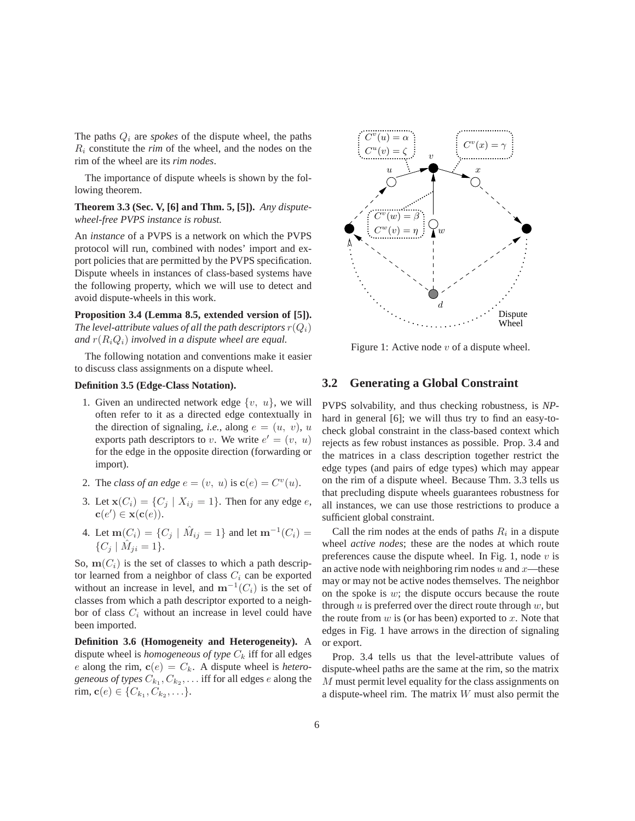The paths  $Q_i$  are *spokes* of the dispute wheel, the paths  $R_i$  constitute the *rim* of the wheel, and the nodes on the rim of the wheel are its *rim nodes*.

The importance of dispute wheels is shown by the following theorem.

**Theorem 3.3 (Sec. V, [6] and Thm. 5, [5]).** *Any disputewheel-free PVPS instance is robust.*

An *instance* of a PVPS is a network on which the PVPS protocol will run, combined with nodes' import and export policies that are permitted by the PVPS specification. Dispute wheels in instances of class-based systems have the following property, which we will use to detect and avoid dispute-wheels in this work.

**Proposition 3.4 (Lemma 8.5, extended version of [5]).** *The level-attribute values of all the path descriptors*  $r(Q_i)$ *and*  $r(R_iQ_i)$  *involved in a dispute wheel are equal.* 

The following notation and conventions make it easier to discuss class assignments on a dispute wheel.

#### **Definition 3.5 (Edge-Class Notation).**

- 1. Given an undirected network edge  $\{v, u\}$ , we will often refer to it as a directed edge contextually in the direction of signaling, *i.e.*, along  $e = (u, v)$ , u exports path descriptors to v. We write  $e' = (v, u)$ for the edge in the opposite direction (forwarding or import).
- 2. The *class of an edge*  $e = (v, u)$  is  $\mathbf{c}(e) = C^v(u)$ .
- 3. Let  $\mathbf{x}(C_i) = \{C_j \mid X_{ij} = 1\}$ . Then for any edge *e*,  $\mathbf{c}(e') \in \mathbf{x}(\mathbf{c}(e)).$
- 4. Let **m**( $C_i$ ) = { $C_j$  |  $\hat{M}_{ij} = 1$ } and let **m**<sup>-1</sup>( $C_i$ ) =  ${C_i | \hat{M}_{ii} = 1}.$

So,  $m(C_i)$  is the set of classes to which a path descriptor learned from a neighbor of class  $C_i$  can be exported without an increase in level, and  $m^{-1}(C_i)$  is the set of classes from which a path descriptor exported to a neighbor of class  $C_i$  without an increase in level could have been imported.

**Definition 3.6 (Homogeneity and Heterogeneity).** A dispute wheel is *homogeneous of type*  $C_k$  iff for all edges e along the rim,  $\mathbf{c}(e) = C_k$ . A dispute wheel is *heterogeneous of types*  $C_{k_1}, C_{k_2}, \ldots$  iff for all edges e along the rim, **c**(*e*)  $\in \{C_{k_1}, C_{k_2}, \ldots\}.$ 



Figure 1: Active node  $v$  of a dispute wheel.

#### **3.2 Generating a Global Constraint**

PVPS solvability, and thus checking robustness, is *NP*hard in general [6]; we will thus try to find an easy-tocheck global constraint in the class-based context which rejects as few robust instances as possible. Prop. 3.4 and the matrices in a class description together restrict the edge types (and pairs of edge types) which may appear on the rim of a dispute wheel. Because Thm. 3.3 tells us that precluding dispute wheels guarantees robustness for all instances, we can use those restrictions to produce a sufficient global constraint.

Call the rim nodes at the ends of paths  $R_i$  in a dispute wheel *active nodes*; these are the nodes at which route preferences cause the dispute wheel. In Fig. 1, node  $v$  is an active node with neighboring rim nodes  $u$  and  $x$ —these may or may not be active nodes themselves. The neighbor on the spoke is  $w$ ; the dispute occurs because the route through  $u$  is preferred over the direct route through  $w$ , but the route from  $w$  is (or has been) exported to  $x$ . Note that edges in Fig. 1 have arrows in the direction of signaling or export.

Prop. 3.4 tells us that the level-attribute values of dispute-wheel paths are the same at the rim, so the matrix M must permit level equality for the class assignments on a dispute-wheel rim. The matrix W must also permit the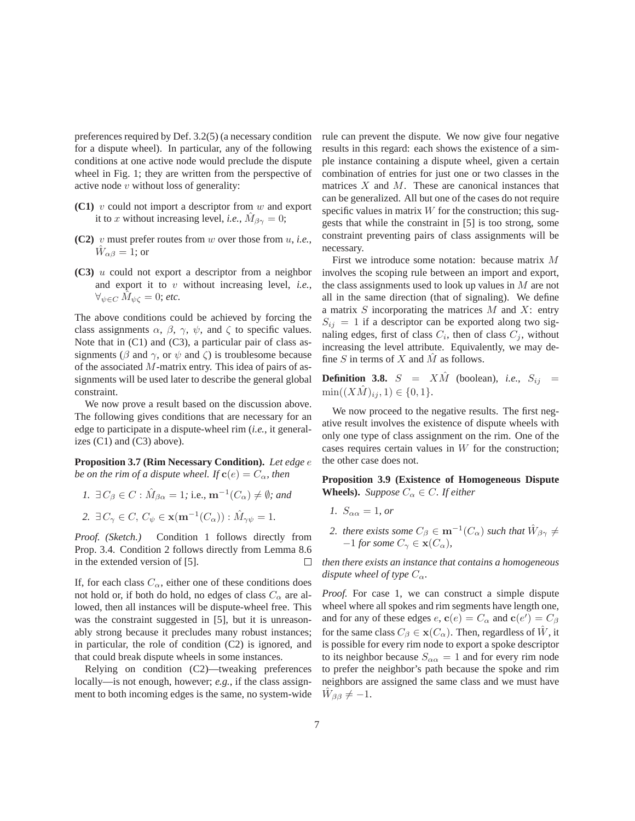preferences required by Def. 3.2(5) (a necessary condition for a dispute wheel). In particular, any of the following conditions at one active node would preclude the dispute wheel in Fig. 1; they are written from the perspective of active node  $v$  without loss of generality:

- **(C1)** v could not import a descriptor from w and export it to x without increasing level, *i.e.*,  $\dot{M}_{\beta\gamma} = 0$ ;
- **(C2)** v must prefer routes from w over those from u, *i.e.*,  $\hat{W}_{\alpha\beta} = 1$ ; or
- **(C3)** u could not export a descriptor from a neighbor and export it to v without increasing level, *i.e.*,  $\forall_{\psi \in C} M_{\psi \in \mathcal{C}} = 0$ ; *etc.*

The above conditions could be achieved by forcing the class assignments  $\alpha$ ,  $\beta$ ,  $\gamma$ ,  $\psi$ , and  $\zeta$  to specific values. Note that in (C1) and (C3), a particular pair of class assignments ( $\beta$  and  $\gamma$ , or  $\psi$  and  $\zeta$ ) is troublesome because of the associated  $M$ -matrix entry. This idea of pairs of assignments will be used later to describe the general global constraint.

We now prove a result based on the discussion above. The following gives conditions that are necessary for an edge to participate in a dispute-wheel rim (*i.e.*, it generalizes  $(C1)$  and  $(C3)$  above).

**Proposition 3.7 (Rim Necessary Condition).** *Let edge* e *be on the rim of a dispute wheel. If*  $\mathbf{c}(e) = C_\alpha$ *, then* 

*1.*  $\exists C_{\beta} \in C : \hat{M}_{\beta\alpha} = 1$ ; i.e.,  $\mathbf{m}^{-1}(C_{\alpha}) \neq \emptyset$ ; and *2.*  $\exists C_{\gamma} \in C, C_{\psi} \in \mathbf{x}(\mathbf{m}^{-1}(C_{\alpha})) : \hat{M}_{\gamma\psi} = 1.$ 

*Proof. (Sketch.)* Condition 1 follows directly from Prop. 3.4. Condition 2 follows directly from Lemma 8.6 in the extended version of [5].  $\Box$ 

If, for each class  $C_{\alpha}$ , either one of these conditions does not hold or, if both do hold, no edges of class  $C_{\alpha}$  are allowed, then all instances will be dispute-wheel free. This was the constraint suggested in [5], but it is unreasonably strong because it precludes many robust instances; in particular, the role of condition (C2) is ignored, and that could break dispute wheels in some instances.

Relying on condition (C2)—tweaking preferences locally—is not enough, however; *e.g.*, if the class assignment to both incoming edges is the same, no system-wide rule can prevent the dispute. We now give four negative results in this regard: each shows the existence of a simple instance containing a dispute wheel, given a certain combination of entries for just one or two classes in the matrices  $X$  and  $M$ . These are canonical instances that can be generalized. All but one of the cases do not require specific values in matrix  $W$  for the construction; this suggests that while the constraint in [5] is too strong, some constraint preventing pairs of class assignments will be necessary.

First we introduce some notation: because matrix M involves the scoping rule between an import and export, the class assignments used to look up values in  $M$  are not all in the same direction (that of signaling). We define a matrix  $S$  incorporating the matrices  $M$  and  $X$ : entry  $S_{ij} = 1$  if a descriptor can be exported along two signaling edges, first of class  $C_i$ , then of class  $C_j$ , without increasing the level attribute. Equivalently, we may define  $S$  in terms of  $X$  and  $\overline{M}$  as follows.

**Definition 3.8.**  $S = X\hat{M}$  (boolean), *i.e.*,  $S_{ij} =$  $\min((X\hat{M})_{ij}, 1) \in \{0, 1\}.$ 

We now proceed to the negative results. The first negative result involves the existence of dispute wheels with only one type of class assignment on the rim. One of the cases requires certain values in  $W$  for the construction; the other case does not.

**Proposition 3.9 (Existence of Homogeneous Dispute Wheels).** *Suppose*  $C_{\alpha} \in C$ *. If either* 

- *1.*  $S_{\alpha\alpha} = 1$ *, or*
- *2. there exists some*  $C_{\beta} \in \mathbf{m}^{-1}(C_{\alpha})$  *such that*  $\hat{W}_{\beta\gamma} \neq$  $-1$  *for some*  $C_{\gamma} \in \mathbf{x}(C_{\alpha})$ *,*

*then there exists an instance that contains a homogeneous dispute wheel of type*  $C_{\alpha}$ *.* 

*Proof.* For case 1, we can construct a simple dispute wheel where all spokes and rim segments have length one, and for any of these edges  $e$ ,  $\mathbf{c}(e) = C_{\alpha}$  and  $\mathbf{c}(e') = C_{\beta}$ for the same class  $C_\beta \in \mathbf{x}(C_\alpha)$ . Then, regardless of  $\hat{W}$ , it is possible for every rim node to export a spoke descriptor to its neighbor because  $S_{\alpha\alpha} = 1$  and for every rim node to prefer the neighbor's path because the spoke and rim neighbors are assigned the same class and we must have  $W_{\beta\beta} \neq -1.$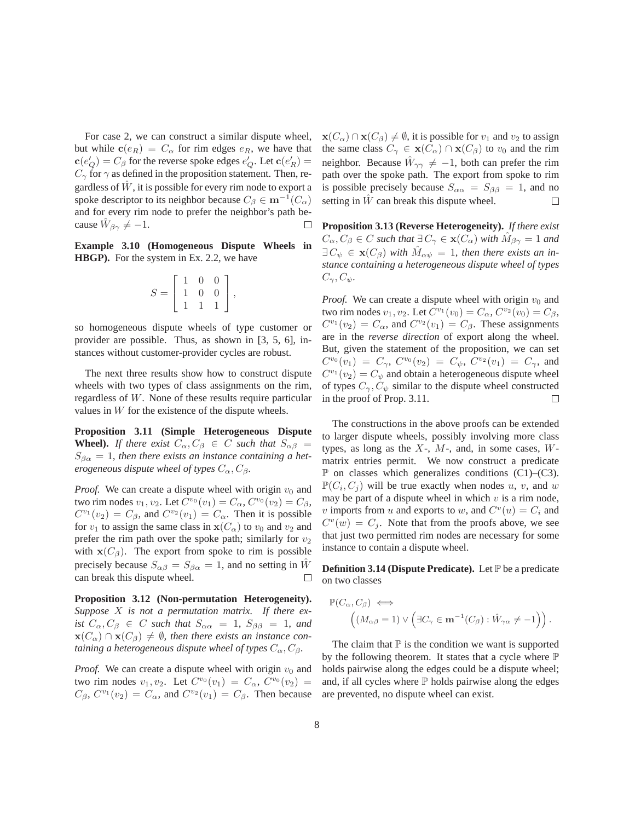For case 2, we can construct a similar dispute wheel, but while  $\mathbf{c}(e_R) = C_\alpha$  for rim edges  $e_R$ , we have that  $\mathbf{c}(e'_Q) = C_\beta$  for the reverse spoke edges  $e'_Q$ . Let  $\mathbf{c}(e'_R) =$  $C_{\gamma}$  for  $\gamma$  as defined in the proposition statement. Then, regardless of  $\hat{W}$ , it is possible for every rim node to export a spoke descriptor to its neighbor because  $C_\beta \in \mathbf{m}^{-1}(C_\alpha)$ and for every rim node to prefer the neighbor's path because  $\hat{W}_{\beta\gamma} \neq -1$ . Ш

**Example 3.10 (Homogeneous Dispute Wheels in HBGP).** For the system in Ex. 2.2, we have

$$
S = \left[ \begin{array}{rrr} 1 & 0 & 0 \\ 1 & 0 & 0 \\ 1 & 1 & 1 \end{array} \right],
$$

so homogeneous dispute wheels of type customer or provider are possible. Thus, as shown in [3, 5, 6], instances without customer-provider cycles are robust.

The next three results show how to construct dispute wheels with two types of class assignments on the rim, regardless of W. None of these results require particular values in  $W$  for the existence of the dispute wheels.

**Proposition 3.11 (Simple Heterogeneous Dispute Wheel).** *If there exist*  $C_{\alpha}, C_{\beta} \in C$  *such that*  $S_{\alpha\beta} =$  $S_{\beta\alpha} = 1$ , then there exists an instance containing a het*erogeneous dispute wheel of types*  $C_{\alpha}$ ,  $C_{\beta}$ .

*Proof.* We can create a dispute wheel with origin  $v_0$  and two rim nodes  $v_1, v_2$ . Let  $C^{v_0}(v_1) = C_\alpha$ ,  $C^{v_0}(v_2) = C_\beta$ ,  $C^{v_1}(v_2) = C_\beta$ , and  $C^{v_2}(v_1) = C_\alpha$ . Then it is possible for  $v_1$  to assign the same class in  $\mathbf{x}(C_\alpha)$  to  $v_0$  and  $v_2$  and prefer the rim path over the spoke path; similarly for  $v_2$ with  $\mathbf{x}(C_{\beta})$ . The export from spoke to rim is possible precisely because  $S_{\alpha\beta} = S_{\beta\alpha} = 1$ , and no setting in  $\hat{W}$ can break this dispute wheel. □

**Proposition 3.12 (Non-permutation Heterogeneity).** *Suppose* X *is not a permutation matrix. If there exist*  $C_{\alpha}, C_{\beta} \in C$  *such that*  $S_{\alpha\alpha} = 1$ ,  $S_{\beta\beta} = 1$ *, and*  $\mathbf{x}(C_{\alpha}) \cap \mathbf{x}(C_{\beta}) \neq \emptyset$ , then there exists an instance con*taining a heterogeneous dispute wheel of types*  $C_{\alpha}$ ,  $C_{\beta}$ .

*Proof.* We can create a dispute wheel with origin  $v_0$  and two rim nodes  $v_1, v_2$ . Let  $C^{v_0}(v_1) = C_\alpha$ ,  $C^{v_0}(v_2) =$  $C_{\beta}$ ,  $C^{v_1}(v_2) = C_{\alpha}$ , and  $C^{v_2}(v_1) = C_{\beta}$ . Then because  $\mathbf{x}(C_{\alpha}) \cap \mathbf{x}(C_{\beta}) \neq \emptyset$ , it is possible for  $v_1$  and  $v_2$  to assign the same class  $C_{\gamma} \in \mathbf{x}(C_{\alpha}) \cap \mathbf{x}(C_{\beta})$  to  $v_0$  and the rim neighbor. Because  $\hat{W}_{\gamma\gamma} \neq -1$ , both can prefer the rim path over the spoke path. The export from spoke to rim is possible precisely because  $S_{\alpha\alpha} = S_{\beta\beta} = 1$ , and no setting in  $\hat{W}$  can break this dispute wheel.  $\Box$ 

**Proposition 3.13 (Reverse Heterogeneity).** *If there exist*  $C_{\alpha}, C_{\beta} \in C$  *such that*  $\exists C_{\gamma} \in \mathbf{x}(C_{\alpha})$  *with*  $\hat{M}_{\beta\gamma} = 1$  *and*  $\exists C_{\psi} \in \mathbf{x}(C_{\beta})$  with  $M_{\alpha\psi} = 1$ , then there exists an in*stance containing a heterogeneous dispute wheel of types*  $C_{\gamma}, C_{\psi}.$ 

*Proof.* We can create a dispute wheel with origin  $v_0$  and two rim nodes  $v_1, v_2$ . Let  $C^{v_1}(v_0) = C_\alpha$ ,  $C^{v_2}(v_0) = C_\beta$ ,  $C^{v_1}(v_2) = C_\alpha$ , and  $C^{v_2}(v_1) = C_\beta$ . These assignments are in the *reverse direction* of export along the wheel. But, given the statement of the proposition, we can set  $C^{v_0}(v_1) = C_\gamma$ ,  $C^{v_0}(v_2) = C_\psi$ ,  $C^{v_2}(v_1) = C_\gamma$ , and  $C^{v_1}(v_2) = C_{\psi}$  and obtain a heterogeneous dispute wheel of types  $C_{\gamma}, C_{\psi}$  similar to the dispute wheel constructed in the proof of Prop. 3.11.  $\Box$ 

The constructions in the above proofs can be extended to larger dispute wheels, possibly involving more class types, as long as the  $X<sub>z</sub>$ ,  $M<sub>z</sub>$ , and, in some cases,  $W<sub>z</sub>$ matrix entries permit. We now construct a predicate  $\mathbb P$  on classes which generalizes conditions (C1)–(C3).  $\mathbb{P}(C_i, C_j)$  will be true exactly when nodes u, v, and w may be part of a dispute wheel in which  $v$  is a rim node, v imports from u and exports to w, and  $C<sup>v</sup>(u) = C<sub>i</sub>$  and  $C^v(w) = C_j$ . Note that from the proofs above, we see that just two permitted rim nodes are necessary for some instance to contain a dispute wheel.

**Definition 3.14 (Dispute Predicate).** Let P be a predicate on two classes

$$
\mathbb{P}(C_{\alpha}, C_{\beta}) \iff \left( (M_{\alpha\beta} = 1) \vee \left( \exists C_{\gamma} \in \mathbf{m}^{-1}(C_{\beta}) : \hat{W}_{\gamma\alpha} \neq -1 \right) \right).
$$

The claim that  $\mathbb P$  is the condition we want is supported by the following theorem. It states that a cycle where P holds pairwise along the edges could be a dispute wheel; and, if all cycles where  $\mathbb P$  holds pairwise along the edges are prevented, no dispute wheel can exist.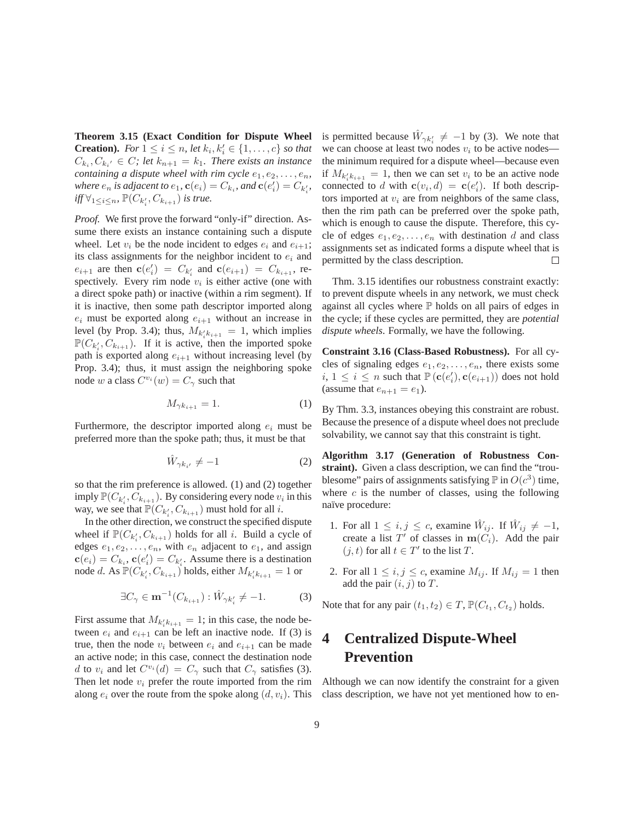**Theorem 3.15 (Exact Condition for Dispute Wheel Creation).** *For*  $1 \le i \le n$ , *let*  $k_i, k'_i \in \{1, ..., c\}$  *so that*  $C_{k_i}, C_{k_i'} \in C$ ; let  $k_{n+1} = k_1$ . There exists an instance *containing a dispute wheel with rim cycle*  $e_1, e_2, \ldots, e_n$ , *where*  $e_n$  *is adjacent to*  $e_1$ ,  $\mathbf{c}(e_i) = C_{k_i}$ , and  $\mathbf{c}(e'_i) = C_{k'_i}$ , *iff*  $\forall$ <sub>1≤*i*≤*n*</sub>,  $\mathbb{P}(C_{k'_{i}}, C_{k_{i+1}})$  *is true.* 

*Proof.* We first prove the forward "only-if" direction. Assume there exists an instance containing such a dispute wheel. Let  $v_i$  be the node incident to edges  $e_i$  and  $e_{i+1}$ ; its class assignments for the neighbor incident to  $e_i$  and  $e_{i+1}$  are then  $\mathbf{c}(e'_i) = C_{k'_i}$  and  $\mathbf{c}(e_{i+1}) = C_{k_{i+1}}$ , respectively. Every rim node  $v_i$  is either active (one with a direct spoke path) or inactive (within a rim segment). If it is inactive, then some path descriptor imported along  $e_i$  must be exported along  $e_{i+1}$  without an increase in level (by Prop. 3.4); thus,  $M_{k'_i k_{i+1}} = 1$ , which implies  $\mathbb{P}(C_{k'_i}, C_{k_{i+1}})$ . If it is active, then the imported spoke path is exported along  $e_{i+1}$  without increasing level (by Prop. 3.4); thus, it must assign the neighboring spoke node w a class  $C^{v_i}(w) = C_\gamma$  such that

$$
M_{\gamma k_{i+1}} = 1. \tag{1}
$$

Furthermore, the descriptor imported along  $e_i$  must be preferred more than the spoke path; thus, it must be that

$$
\hat{W}_{\gamma k_{i'}} \neq -1 \tag{2}
$$

so that the rim preference is allowed. (1) and (2) together imply  $\mathbb{P}(C_{k'_i}, C_{k_{i+1}})$ . By considering every node  $v_i$  in this way, we see that  $\mathbb{P}(C_{k'_i}, C_{k_{i+1}})$  must hold for all  $i$ .

In the other direction, we construct the specified dispute wheel if  $\mathbb{P}(C_{k'_i}, C_{k_{i+1}})$  holds for all i. Build a cycle of edges  $e_1, e_2, \ldots, e_n$ , with  $e_n$  adjacent to  $e_1$ , and assign  $\mathbf{c}(e_i) = C_{k_i}, \mathbf{c}(e'_i) = C_{k'_i}$ . Assume there is a destination node d. As  $\mathbb{P}(C_{k'_i}, C_{k_{i+1}})$  holds, either  $M_{k'_i k_{i+1}} = 1$  or

$$
\exists C_{\gamma} \in \mathbf{m}^{-1}(C_{k_{i+1}}): \hat{W}_{\gamma k'_{i}} \neq -1. \tag{3}
$$

First assume that  $M_{k'_{i}k_{i+1}} = 1$ ; in this case, the node between  $e_i$  and  $e_{i+1}$  can be left an inactive node. If (3) is true, then the node  $v_i$  between  $e_i$  and  $e_{i+1}$  can be made an active node; in this case, connect the destination node d to  $v_i$  and let  $C^{v_i}(d) = C_\gamma$  such that  $C_\gamma$  satisfies (3). Then let node  $v_i$  prefer the route imported from the rim along  $e_i$  over the route from the spoke along  $(d, v_i)$ . This

is permitted because  $\hat{W}_{\gamma k'_i} \neq -1$  by (3). We note that we can choose at least two nodes  $v_i$  to be active nodes the minimum required for a dispute wheel—because even if  $M_{k_i' k_{i+1}} = 1$ , then we can set  $v_i$  to be an active node connected to d with  $\mathbf{c}(v_i, d) = \mathbf{c}(e'_i)$ . If both descriptors imported at  $v_i$  are from neighbors of the same class, then the rim path can be preferred over the spoke path, which is enough to cause the dispute. Therefore, this cycle of edges  $e_1, e_2, \ldots, e_n$  with destination d and class assignments set as indicated forms a dispute wheel that is permitted by the class description.  $\Box$ 

Thm. 3.15 identifies our robustness constraint exactly: to prevent dispute wheels in any network, we must check against all cycles where  $P$  holds on all pairs of edges in the cycle; if these cycles are permitted, they are *potential dispute wheels*. Formally, we have the following.

**Constraint 3.16 (Class-Based Robustness).** For all cycles of signaling edges  $e_1, e_2, \ldots, e_n$ , there exists some  $i, 1 \leq i \leq n$  such that  $\mathbb{P}(\mathbf{c}(e'_i), \mathbf{c}(e_{i+1}))$  does not hold (assume that  $e_{n+1} = e_1$ ).

By Thm. 3.3, instances obeying this constraint are robust. Because the presence of a dispute wheel does not preclude solvability, we cannot say that this constraint is tight.

**Algorithm 3.17 (Generation of Robustness Constraint).** Given a class description, we can find the "troublesome" pairs of assignments satisfying  $\mathbb P$  in  $O(c^3)$  time, where  $c$  is the number of classes, using the following naïve procedure:

- 1. For all  $1 \le i, j \le c$ , examine  $\hat{W}_{ij}$ . If  $\hat{W}_{ij} \ne -1$ , create a list  $T'$  of classes in  $m(C_i)$ . Add the pair  $(j, t)$  for all  $t \in T'$  to the list T.
- 2. For all  $1 \leq i, j \leq c$ , examine  $M_{ij}$ . If  $M_{ij} = 1$  then add the pair  $(i, j)$  to  $T$ .

Note that for any pair  $(t_1, t_2) \in T$ ,  $\mathbb{P}(C_{t_1}, C_{t_2})$  holds.

# **4 Centralized Dispute-Wheel Prevention**

Although we can now identify the constraint for a given class description, we have not yet mentioned how to en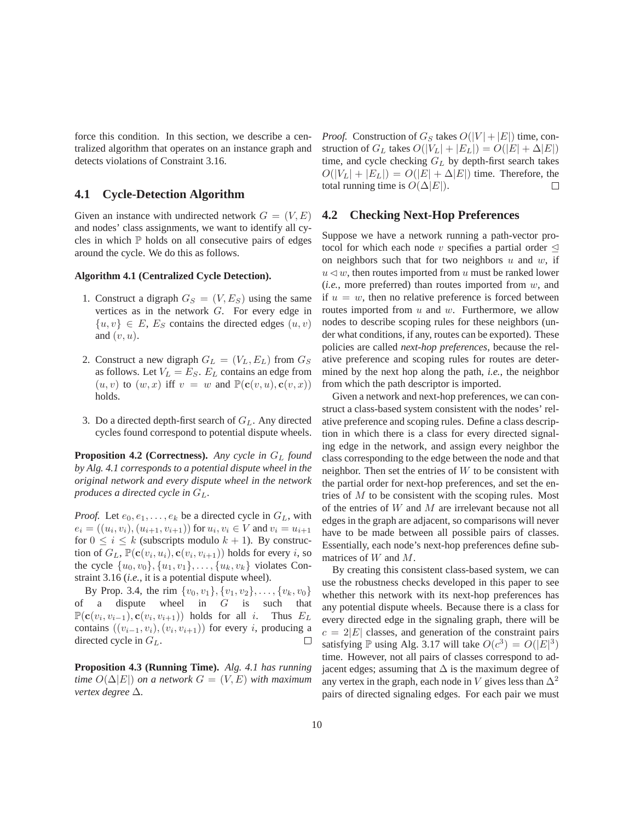force this condition. In this section, we describe a centralized algorithm that operates on an instance graph and detects violations of Constraint 3.16.

#### **4.1 Cycle-Detection Algorithm**

Given an instance with undirected network  $G = (V, E)$ and nodes' class assignments, we want to identify all cycles in which  $P$  holds on all consecutive pairs of edges around the cycle. We do this as follows.

#### **Algorithm 4.1 (Centralized Cycle Detection).**

- 1. Construct a digraph  $G_S = (V, E_S)$  using the same vertices as in the network G. For every edge in  $\{u, v\} \in E$ ,  $E_S$  contains the directed edges  $(u, v)$ and  $(v, u)$ .
- 2. Construct a new digraph  $G_L = (V_L, E_L)$  from  $G_S$ as follows. Let  $V_L = E_S$ .  $E_L$  contains an edge from  $(u, v)$  to  $(w, x)$  iff  $v = w$  and  $\mathbb{P}(\mathbf{c}(v, u), \mathbf{c}(v, x))$ holds.
- 3. Do a directed depth-first search of  $G_L$ . Any directed cycles found correspond to potential dispute wheels.

**Proposition 4.2 (Correctness).** Any cycle in  $G_L$  found *by Alg. 4.1 corresponds to a potential dispute wheel in the original network and every dispute wheel in the network produces a directed cycle in*  $G_L$ .

*Proof.* Let  $e_0, e_1, \ldots, e_k$  be a directed cycle in  $G_L$ , with  $e_i = ((u_i, v_i), (u_{i+1}, v_{i+1}))$  for  $u_i, v_i \in V$  and  $v_i = u_{i+1}$ for  $0 \le i \le k$  (subscripts modulo  $k + 1$ ). By construction of  $G_L$ ,  $\mathbb{P}(\mathbf{c}(v_i, u_i), \mathbf{c}(v_i, v_{i+1}))$  holds for every *i*, so the cycle  $\{u_0, v_0\}, \{u_1, v_1\}, \ldots, \{u_k, v_k\}$  violates Constraint 3.16 (*i.e.*, it is a potential dispute wheel).

By Prop. 3.4, the rim  $\{v_0, v_1\}, \{v_1, v_2\}, \ldots, \{v_k, v_0\}$ of a dispute wheel in G is such that  $\mathbb{P}(\mathbf{c}(v_i, v_{i-1}), \mathbf{c}(v_i, v_{i+1}))$  holds for all *i*. Thus  $E_L$ contains  $((v_{i-1}, v_i), (v_i, v_{i+1}))$  for every *i*, producing a directed cycle in  $G_r$ . directed cycle in  $G_L$ .

**Proposition 4.3 (Running Time).** *Alg. 4.1 has running time*  $O(\Delta|E|)$  *on a network*  $G = (V, E)$  *with maximum vertex degree* ∆*.*

*Proof.* Construction of  $G_S$  takes  $O(|V| + |E|)$  time, construction of  $G_L$  takes  $O(|V_L| + |E_L|) = O(|E| + \Delta |E|)$ time, and cycle checking  $G_L$  by depth-first search takes  $O(|V_L| + |E_L|) = O(|E| + \Delta |E|)$  time. Therefore, the total running time is  $O(\Delta|E|)$ .  $\Box$ 

#### **4.2 Checking Next-Hop Preferences**

Suppose we have a network running a path-vector protocol for which each node v specifies a partial order  $\leq$ on neighbors such that for two neighbors  $u$  and  $w$ , if  $u \triangleleft w$ , then routes imported from u must be ranked lower (*i.e.*, more preferred) than routes imported from w, and if  $u = w$ , then no relative preference is forced between routes imported from  $u$  and  $w$ . Furthermore, we allow nodes to describe scoping rules for these neighbors (under what conditions, if any, routes can be exported). These policies are called *next-hop preferences*, because the relative preference and scoping rules for routes are determined by the next hop along the path, *i.e.*, the neighbor from which the path descriptor is imported.

Given a network and next-hop preferences, we can construct a class-based system consistent with the nodes' relative preference and scoping rules. Define a class description in which there is a class for every directed signaling edge in the network, and assign every neighbor the class corresponding to the edge between the node and that neighbor. Then set the entries of  $W$  to be consistent with the partial order for next-hop preferences, and set the entries of M to be consistent with the scoping rules. Most of the entries of W and M are irrelevant because not all edges in the graph are adjacent, so comparisons will never have to be made between all possible pairs of classes. Essentially, each node's next-hop preferences define submatrices of W and M.

By creating this consistent class-based system, we can use the robustness checks developed in this paper to see whether this network with its next-hop preferences has any potential dispute wheels. Because there is a class for every directed edge in the signaling graph, there will be  $c = 2|E|$  classes, and generation of the constraint pairs satisfying  $\mathbb P$  using Alg. 3.17 will take  $O(c^3) = O(|E|^3)$ time. However, not all pairs of classes correspond to adjacent edges; assuming that  $\Delta$  is the maximum degree of any vertex in the graph, each node in V gives less than  $\Delta^2$ pairs of directed signaling edges. For each pair we must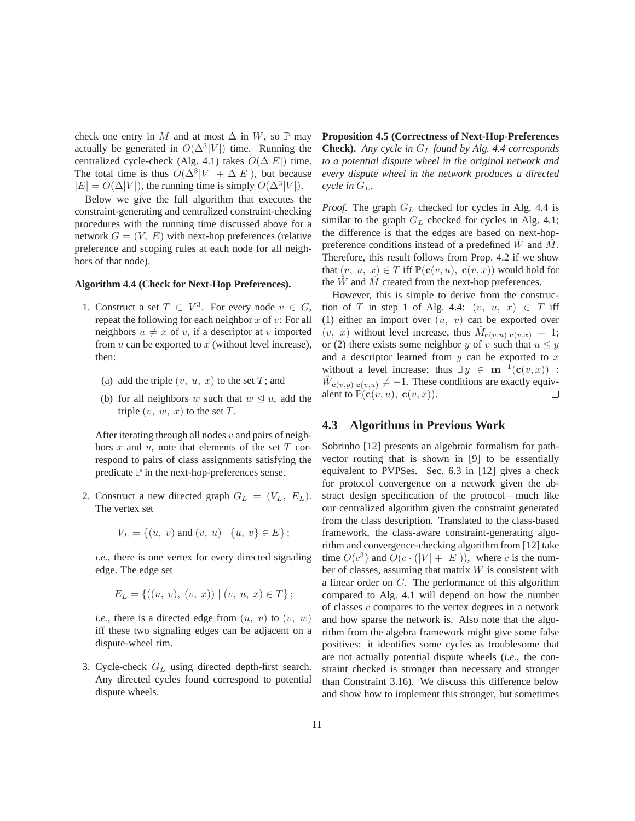check one entry in M and at most  $\Delta$  in W, so  $\mathbb P$  may actually be generated in  $O(\Delta^3|V|)$  time. Running the centralized cycle-check (Alg. 4.1) takes  $O(\Delta|E|)$  time. The total time is thus  $O(\Delta^3|V| + \Delta|E|)$ , but because  $|E| = O(\Delta |V|)$ , the running time is simply  $O(\Delta^3 |V|)$ .

Below we give the full algorithm that executes the constraint-generating and centralized constraint-checking procedures with the running time discussed above for a network  $G = (V, E)$  with next-hop preferences (relative preference and scoping rules at each node for all neighbors of that node).

#### **Algorithm 4.4 (Check for Next-Hop Preferences).**

- 1. Construct a set  $T \subset V^3$ . For every node  $v \in G$ , repeat the following for each neighbor  $x$  of  $v$ : For all neighbors  $u \neq x$  of v, if a descriptor at v imported from  $u$  can be exported to  $x$  (without level increase), then:
	- (a) add the triple  $(v, u, x)$  to the set T; and
	- (b) for all neighbors w such that  $w \leq u$ , add the triple  $(v, w, x)$  to the set  $T$ .

After iterating through all nodes  $v$  and pairs of neighbors x and u, note that elements of the set  $T$  correspond to pairs of class assignments satisfying the predicate  $\mathbb P$  in the next-hop-preferences sense.

2. Construct a new directed graph  $G_L = (V_L, E_L)$ . The vertex set

$$
V_L = \{(u, v) \text{ and } (v, u) \mid \{u, v\} \in E\};
$$

*i.e.*, there is one vertex for every directed signaling edge. The edge set

$$
E_L = \{((u, v), (v, x)) \mid (v, u, x) \in T\};
$$

*i.e.*, there is a directed edge from  $(u, v)$  to  $(v, w)$ iff these two signaling edges can be adjacent on a dispute-wheel rim.

3. Cycle-check  $G_L$  using directed depth-first search. Any directed cycles found correspond to potential dispute wheels.

**Proposition 4.5 (Correctness of Next-Hop-Preferences Check).** *Any cycle in* G<sup>L</sup> *found by Alg. 4.4 corresponds to a potential dispute wheel in the original network and every dispute wheel in the network produces a directed cycle in*  $G_L$ .

*Proof.* The graph  $G_L$  checked for cycles in Alg. 4.4 is similar to the graph  $G_L$  checked for cycles in Alg. 4.1; the difference is that the edges are based on next-hoppreference conditions instead of a predefined  $W$  and  $M$ . Therefore, this result follows from Prop. 4.2 if we show that  $(v, u, x) \in T$  iff  $\mathbb{P}(\mathbf{c}(v, u), \mathbf{c}(v, x))$  would hold for the  $\hat{W}$  and  $\hat{M}$  created from the next-hop preferences.

However, this is simple to derive from the construction of T in step 1 of Alg. 4.4:  $(v, u, x) \in T$  iff (1) either an import over  $(u, v)$  can be exported over  $(v, x)$  without level increase, thus  $\tilde{M}_{c(v,u) c(v,x)} = 1;$ or (2) there exists some neighbor y of v such that  $u \leq y$ and a descriptor learned from  $y$  can be exported to  $x$ without a level increase; thus  $\exists y \in \mathbf{m}^{-1}(\mathbf{c}(v, x))$ :  $\hat{W}_{c(v,u)}$   $c(v,u) \neq -1$ . These conditions are exactly equivalent to  $\mathbb{P}(\mathbf{c}(v, u), \mathbf{c}(v, x)).$  $\Box$ 

#### **4.3 Algorithms in Previous Work**

Sobrinho [12] presents an algebraic formalism for pathvector routing that is shown in [9] to be essentially equivalent to PVPSes. Sec. 6.3 in [12] gives a check for protocol convergence on a network given the abstract design specification of the protocol—much like our centralized algorithm given the constraint generated from the class description. Translated to the class-based framework, the class-aware constraint-generating algorithm and convergence-checking algorithm from [12] take time  $O(c^3)$  and  $O(c \cdot (|V| + |E|))$ , where c is the number of classes, assuming that matrix  $W$  is consistent with a linear order on C. The performance of this algorithm compared to Alg. 4.1 will depend on how the number of classes  $c$  compares to the vertex degrees in a network and how sparse the network is. Also note that the algorithm from the algebra framework might give some false positives: it identifies some cycles as troublesome that are not actually potential dispute wheels (*i.e.*, the constraint checked is stronger than necessary and stronger than Constraint 3.16). We discuss this difference below and show how to implement this stronger, but sometimes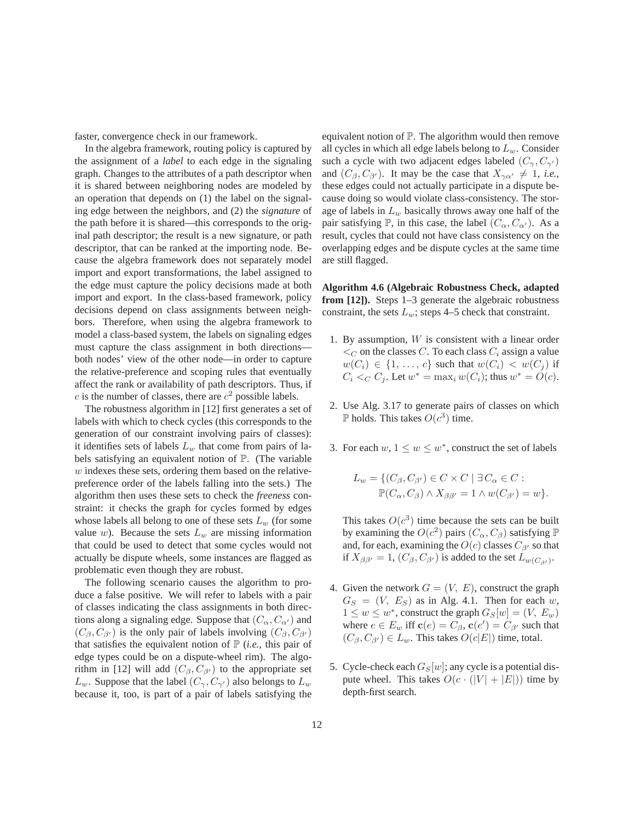faster, convergence check in our framework.

In the algebra framework, routing policy is captured by the assignment of a *label* to each edge in the signaling graph. Changes to the attributes of a path descriptor when it is shared between neighboring nodes are modeled by an operation that depends on (1) the label on the signaling edge between the neighbors, and (2) the *signature* of the path before it is shared—this corresponds to the original path descriptor; the result is a new signature, or path descriptor, that can be ranked at the importing node. Because the algebra framework does not separately model import and export transformations, the label assigned to the edge must capture the policy decisions made at both import and export. In the class-based framework, policy decisions depend on class assignments between neighbors. Therefore, when using the algebra framework to model a class-based system, the labels on signaling edges must capture the class assignment in both directions both nodes' view of the other node—in order to capture the relative-preference and scoping rules that eventually affect the rank or availability of path descriptors. Thus, if c is the number of classes, there are  $c^2$  possible labels.

The robustness algorithm in [12] first generates a set of labels with which to check cycles (this corresponds to the generation of our constraint involving pairs of classes): it identifies sets of labels  $L_w$  that come from pairs of labels satisfying an equivalent notion of P. (The variable  $w$  indexes these sets, ordering them based on the relativepreference order of the labels falling into the sets.) The algorithm then uses these sets to check the *freeness* constraint: it checks the graph for cycles formed by edges whose labels all belong to one of these sets  $L_w$  (for some value w). Because the sets  $L_w$  are missing information that could be used to detect that some cycles would not actually be dispute wheels, some instances are flagged as problematic even though they are robust.

The following scenario causes the algorithm to produce a false positive. We will refer to labels with a pair of classes indicating the class assignments in both directions along a signaling edge. Suppose that  $(C_{\alpha}, C_{\alpha'})$  and  $(C_\beta, C_{\beta'})$  is the only pair of labels involving  $(C_\beta, C_{\beta'})$ that satisfies the equivalent notion of  $P$  (*i.e.*, this pair of edge types could be on a dispute-wheel rim). The algorithm in [12] will add  $(C_\beta, C_{\beta'})$  to the appropriate set  $L_w$ . Suppose that the label  $(C_\gamma, C_{\gamma'})$  also belongs to  $L_w$ because it, too, is part of a pair of labels satisfying the equivalent notion of P. The algorithm would then remove all cycles in which all edge labels belong to  $L_w$ . Consider such a cycle with two adjacent edges labeled  $(C_{\gamma}, C_{\gamma'})$ and  $(C_\beta, C_{\beta'})$ . It may be the case that  $X_{\gamma\alpha'} \neq 1$ , *i.e.*, these edges could not actually participate in a dispute because doing so would violate class-consistency. The storage of labels in  $L_w$  basically throws away one half of the pair satisfying P, in this case, the label  $(C_{\alpha}, C_{\alpha'})$ . As a result, cycles that could not have class consistency on the overlapping edges and be dispute cycles at the same time are still flagged.

**Algorithm 4.6 (Algebraic Robustness Check, adapted from [12]).** Steps 1–3 generate the algebraic robustness constraint, the sets  $L_w$ ; steps 4–5 check that constraint.

- 1. By assumption,  $W$  is consistent with a linear order  $\lt_C$  on the classes C. To each class  $C_i$  assign a value  $w(C_i) \in \{1, \ldots, c\}$  such that  $w(C_i) < w(C_j)$  if  $C_i <_C C_j$ . Let  $w^* = \max_i w(C_i)$ ; thus  $w^* = O(c)$ .
- 2. Use Alg. 3.17 to generate pairs of classes on which P holds. This takes  $O(c^3)$  time.
- 3. For each  $w, 1 \leq w \leq w^*$ , construct the set of labels

$$
L_w = \{ (C_{\beta}, C_{\beta'}) \in C \times C \mid \exists C_{\alpha} \in C : \mathbb{P}(C_{\alpha}, C_{\beta}) \wedge X_{\beta\beta'} = 1 \wedge w(C_{\beta'}) = w \}.
$$

This takes  $O(c^3)$  time because the sets can be built by examining the  $O(c^2)$  pairs  $(C_\alpha, C_\beta)$  satisfying  $\mathbb P$ and, for each, examining the  $O(c)$  classes  $C_{\beta'}$  so that if  $X_{\beta\beta'} = 1$ ,  $(C_{\beta}, C_{\beta'})$  is added to the set  $L_{w(C_{\beta'})}$ .

- 4. Given the network  $G = (V, E)$ , construct the graph  $G_S = (V, E_S)$  as in Alg. 4.1. Then for each w,  $1 \leq w \leq w^*$ , construct the graph  $G_S[w]=(V, E_w)$ where  $e \in E_w$  iff  $\mathbf{c}(e) = C_\beta$ ,  $\mathbf{c}(e') = C_{\beta'}$  such that  $(C_{\beta}, C_{\beta'}) \in L_w$ . This takes  $O(c|E|)$  time, total.
- 5. Cycle-check each  $G_S[w]$ ; any cycle is a potential dispute wheel. This takes  $O(c \cdot (|V| + |E|))$  time by depth-first search.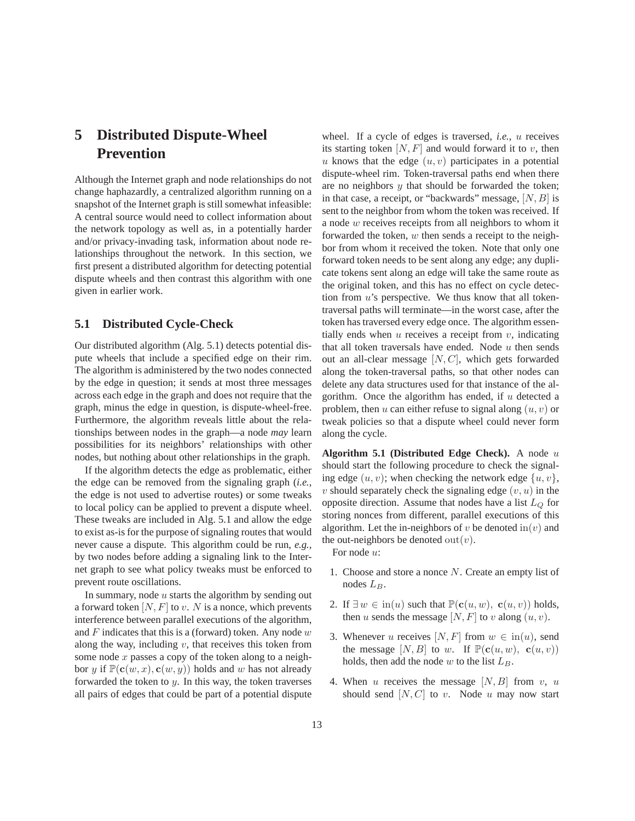# **5 Distributed Dispute-Wheel Prevention**

Although the Internet graph and node relationships do not change haphazardly, a centralized algorithm running on a snapshot of the Internet graph is still somewhat infeasible: A central source would need to collect information about the network topology as well as, in a potentially harder and/or privacy-invading task, information about node relationships throughout the network. In this section, we first present a distributed algorithm for detecting potential dispute wheels and then contrast this algorithm with one given in earlier work.

### **5.1 Distributed Cycle-Check**

Our distributed algorithm (Alg. 5.1) detects potential dispute wheels that include a specified edge on their rim. The algorithm is administered by the two nodes connected by the edge in question; it sends at most three messages across each edge in the graph and does not require that the graph, minus the edge in question, is dispute-wheel-free. Furthermore, the algorithm reveals little about the relationships between nodes in the graph—a node *may* learn possibilities for its neighbors' relationships with other nodes, but nothing about other relationships in the graph.

If the algorithm detects the edge as problematic, either the edge can be removed from the signaling graph (*i.e.*, the edge is not used to advertise routes) or some tweaks to local policy can be applied to prevent a dispute wheel. These tweaks are included in Alg. 5.1 and allow the edge to exist as-is for the purpose of signaling routes that would never cause a dispute. This algorithm could be run, *e.g.*, by two nodes before adding a signaling link to the Internet graph to see what policy tweaks must be enforced to prevent route oscillations.

In summary, node  $u$  starts the algorithm by sending out a forward token  $[N, F]$  to v. N is a nonce, which prevents interference between parallel executions of the algorithm, and  $F$  indicates that this is a (forward) token. Any node  $w$ along the way, including  $v$ , that receives this token from some node  $x$  passes a copy of the token along to a neighbor y if  $\mathbb{P}(\mathbf{c}(w, x), \mathbf{c}(w, y))$  holds and w has not already forwarded the token to  $y$ . In this way, the token traverses all pairs of edges that could be part of a potential dispute wheel. If a cycle of edges is traversed, *i.e.*, u receives its starting token  $[N, F]$  and would forward it to v, then u knows that the edge  $(u, v)$  participates in a potential dispute-wheel rim. Token-traversal paths end when there are no neighbors  $y$  that should be forwarded the token; in that case, a receipt, or "backwards" message,  $[N, B]$  is sent to the neighbor from whom the token was received. If a node w receives receipts from all neighbors to whom it forwarded the token, w then sends a receipt to the neighbor from whom it received the token. Note that only one forward token needs to be sent along any edge; any duplicate tokens sent along an edge will take the same route as the original token, and this has no effect on cycle detection from  $u$ 's perspective. We thus know that all tokentraversal paths will terminate—in the worst case, after the token has traversed every edge once. The algorithm essentially ends when  $u$  receives a receipt from  $v$ , indicating that all token traversals have ended. Node  $u$  then sends out an all-clear message  $[N, C]$ , which gets forwarded along the token-traversal paths, so that other nodes can delete any data structures used for that instance of the algorithm. Once the algorithm has ended, if  $u$  detected a problem, then u can either refuse to signal along  $(u, v)$  or tweak policies so that a dispute wheel could never form along the cycle.

**Algorithm 5.1 (Distributed Edge Check).** A node u should start the following procedure to check the signaling edge  $(u, v)$ ; when checking the network edge  $\{u, v\}$ ,  $v$  should separately check the signaling edge  $(v, u)$  in the opposite direction. Assume that nodes have a list  $L_Q$  for storing nonces from different, parallel executions of this algorithm. Let the in-neighbors of v be denoted in (v) and the out-neighbors be denoted out $(v)$ .

For node u:

- 1. Choose and store a nonce N. Create an empty list of nodes  $L_B$ .
- 2. If  $\exists w \in \text{in}(u)$  such that  $\mathbb{P}(\mathbf{c}(u, w), \mathbf{c}(u, v))$  holds, then u sends the message  $[N, F]$  to v along  $(u, v)$ .
- 3. Whenever u receives  $[N, F]$  from  $w \in \text{in}(u)$ , send the message  $[N, B]$  to w. If  $\mathbb{P}(\mathbf{c}(u, w), \mathbf{c}(u, v))$ holds, then add the node w to the list  $L_B$ .
- 4. When u receives the message  $[N, B]$  from v, u should send  $[N, C]$  to v. Node u may now start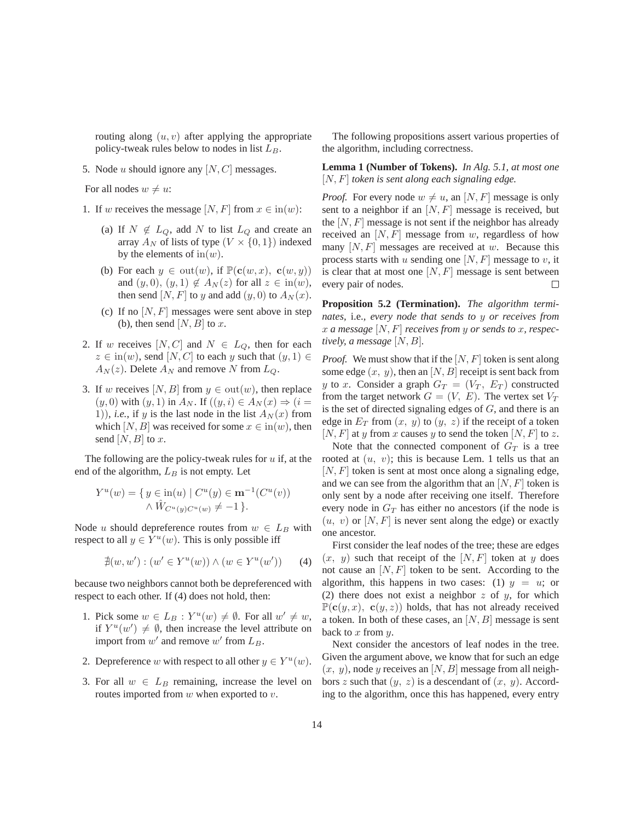routing along  $(u, v)$  after applying the appropriate policy-tweak rules below to nodes in list  $L_B$ .

5. Node  $u$  should ignore any  $[N, C]$  messages.

For all nodes  $w \neq u$ :

- 1. If w receives the message  $[N, F]$  from  $x \in \text{in}(w)$ :
	- (a) If  $N \notin L_Q$ , add N to list  $L_Q$  and create an array  $A_N$  of lists of type  $(V \times \{0,1\})$  indexed by the elements of  $\text{in}(w)$ .
	- (b) For each  $y \in \text{out}(w)$ , if  $\mathbb{P}(\mathbf{c}(w, x), \mathbf{c}(w, y))$ and  $(y, 0), (y, 1) \notin A_N(z)$  for all  $z \in in(w)$ , then send  $[N, F]$  to y and add  $(y, 0)$  to  $A_N(x)$ .
	- (c) If no  $[N, F]$  messages were sent above in step (b), then send  $[N, B]$  to x.
- 2. If w receives  $[N, C]$  and  $N \in L_Q$ , then for each  $z \in in(w)$ , send  $[N, C]$  to each y such that  $(y, 1) \in$  $A_N(z)$ . Delete  $A_N$  and remove N from  $L_Q$ .
- 3. If w receives [N, B] from  $y \in \text{out}(w)$ , then replace  $(y, 0)$  with  $(y, 1)$  in  $A_N$ . If  $((y, i) \in A_N(x) \Rightarrow (i =$ 1)), *i.e.*, if y is the last node in the list  $A_N(x)$  from which [N, B] was received for some  $x \in in(w)$ , then send  $[N, B]$  to x.

The following are the policy-tweak rules for  $u$  if, at the end of the algorithm,  $L_B$  is not empty. Let

$$
Y^{u}(w) = \{ y \in \text{in}(u) \mid C^{u}(y) \in \mathbf{m}^{-1}(C^{u}(v)) \land \hat{W}_{C^{u}(y)C^{u}(w)} \neq -1 \}.
$$

Node u should depreference routes from  $w \in L_B$  with respect to all  $y \in Y^u(w)$ . This is only possible iff

$$
\nexists (w, w') : (w' \in Y^u(w)) \land (w \in Y^u(w')) \qquad (4)
$$

because two neighbors cannot both be depreferenced with respect to each other. If (4) does not hold, then:

- 1. Pick some  $w \in L_B : Y^u(w) \neq \emptyset$ . For all  $w' \neq w$ , if  $Y^u(w') \neq \emptyset$ , then increase the level attribute on import from  $w'$  and remove  $w'$  from  $L_B$ .
- 2. Depreference w with respect to all other  $y \in Y^u(w)$ .
- 3. For all  $w \in L_B$  remaining, increase the level on routes imported from  $w$  when exported to  $v$ .

The following propositions assert various properties of the algorithm, including correctness.

**Lemma 1 (Number of Tokens).** *In Alg. 5.1, at most one* [N,F] *token is sent along each signaling edge.*

*Proof.* For every node  $w \neq u$ , an  $[N, F]$  message is only sent to a neighbor if an  $[N, F]$  message is received, but the  $[N, F]$  message is not sent if the neighbor has already received an  $[N, F]$  message from w, regardless of how many  $[N, F]$  messages are received at w. Because this process starts with u sending one  $[N, F]$  message to v, it is clear that at most one  $[N, F]$  message is sent between every pair of nodes.  $\Box$ 

**Proposition 5.2 (Termination).** *The algorithm terminates,* i.e.*, every node that sends to* y *or receives from* x *a message* [N,F] *receives from* y *or sends to* x*, respectively, a message*  $[N, B]$ *.* 

*Proof.* We must show that if the  $[N, F]$  token is sent along some edge  $(x, y)$ , then an  $[N, B]$  receipt is sent back from y to x. Consider a graph  $G_T = (V_T, E_T)$  constructed from the target network  $G = (V, E)$ . The vertex set  $V_T$ is the set of directed signaling edges of  $G$ , and there is an edge in  $E_T$  from  $(x, y)$  to  $(y, z)$  if the receipt of a token [N, F] at y from x causes y to send the token [N, F] to z.

Note that the connected component of  $G_T$  is a tree rooted at  $(u, v)$ ; this is because Lem. 1 tells us that an  $[N, F]$  token is sent at most once along a signaling edge, and we can see from the algorithm that an  $[N, F]$  token is only sent by a node after receiving one itself. Therefore every node in  $G_T$  has either no ancestors (if the node is  $(u, v)$  or  $[N, F]$  is never sent along the edge) or exactly one ancestor.

First consider the leaf nodes of the tree; these are edges  $(x, y)$  such that receipt of the  $[N, F]$  token at y does not cause an  $[N, F]$  token to be sent. According to the algorithm, this happens in two cases: (1)  $y = u$ ; or (2) there does not exist a neighbor  $z$  of  $y$ , for which  $\mathbb{P}(\mathbf{c}(y,x), \mathbf{c}(y,z))$  holds, that has not already received a token. In both of these cases, an  $[N, B]$  message is sent back to  $x$  from  $y$ .

Next consider the ancestors of leaf nodes in the tree. Given the argument above, we know that for such an edge  $(x, y)$ , node y receives an [N, B] message from all neighbors z such that  $(y, z)$  is a descendant of  $(x, y)$ . According to the algorithm, once this has happened, every entry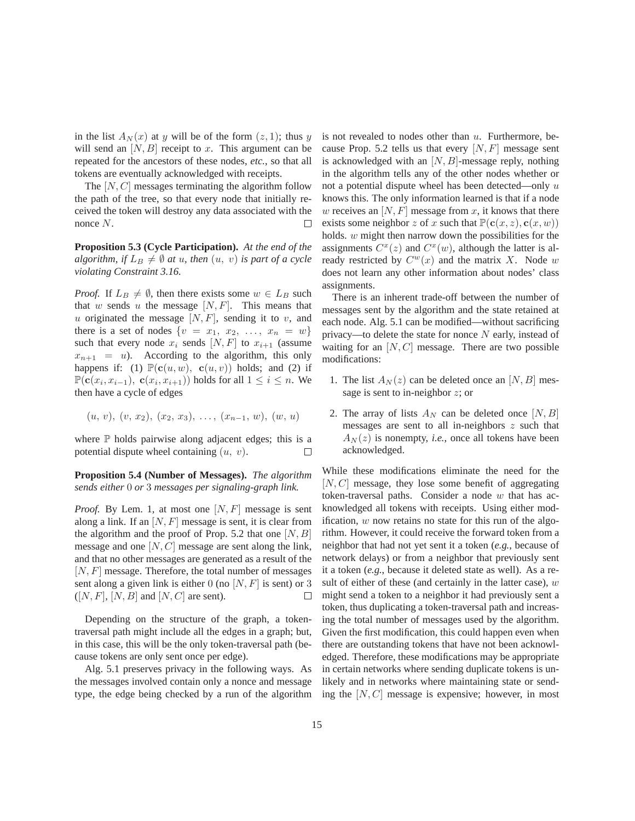in the list  $A_N(x)$  at y will be of the form  $(z, 1)$ ; thus y will send an  $[N, B]$  receipt to x. This argument can be repeated for the ancestors of these nodes, *etc.*, so that all tokens are eventually acknowledged with receipts.

The  $[N, C]$  messages terminating the algorithm follow the path of the tree, so that every node that initially received the token will destroy any data associated with the nonce N.

**Proposition 5.3 (Cycle Participation).** *At the end of the algorithm, if*  $L_B \neq \emptyset$  *at u, then*  $(u, v)$  *is part of a cycle violating Constraint 3.16.*

*Proof.* If  $L_B \neq \emptyset$ , then there exists some  $w \in L_B$  such that w sends u the message  $[N, F]$ . This means that u originated the message  $[N, F]$ , sending it to v, and there is a set of nodes  $\{v = x_1, x_2, \ldots, x_n = w\}$ such that every node  $x_i$  sends  $[N, F]$  to  $x_{i+1}$  (assume  $x_{n+1} = u$ ). According to the algorithm, this only happens if: (1)  $\mathbb{P}(\mathbf{c}(u, w), \mathbf{c}(u, v))$  holds; and (2) if  $\mathbb{P}(\mathbf{c}(x_i, x_{i-1}), \mathbf{c}(x_i, x_{i+1}))$  holds for all  $1 \leq i \leq n$ . We then have a cycle of edges

$$
(u, v), (v, x_2), (x_2, x_3), \ldots, (x_{n-1}, w), (w, u)
$$

where  $\mathbb P$  holds pairwise along adjacent edges; this is a potential dispute wheel containing  $(u, v)$ . □

**Proposition 5.4 (Number of Messages).** *The algorithm sends either* 0 *or* 3 *messages per signaling-graph link.*

*Proof.* By Lem. 1, at most one  $[N, F]$  message is sent along a link. If an  $[N, F]$  message is sent, it is clear from the algorithm and the proof of Prop. 5.2 that one  $[N, B]$ message and one  $[N, C]$  message are sent along the link, and that no other messages are generated as a result of the  $[N, F]$  message. Therefore, the total number of messages sent along a given link is either 0 (no  $[N, F]$  is sent) or 3  $([N, F], [N, B]$  and  $[N, C]$  are sent). П

Depending on the structure of the graph, a tokentraversal path might include all the edges in a graph; but, in this case, this will be the only token-traversal path (because tokens are only sent once per edge).

Alg. 5.1 preserves privacy in the following ways. As the messages involved contain only a nonce and message type, the edge being checked by a run of the algorithm is not revealed to nodes other than  $u$ . Furthermore, because Prop. 5.2 tells us that every  $[N, F]$  message sent is acknowledged with an  $[N, B]$ -message reply, nothing in the algorithm tells any of the other nodes whether or not a potential dispute wheel has been detected—only  $u$ knows this. The only information learned is that if a node w receives an  $[N, F]$  message from x, it knows that there exists some neighbor z of x such that  $\mathbb{P}(\mathbf{c}(x, z), \mathbf{c}(x, w))$ holds. w might then narrow down the possibilities for the assignments  $C^x(z)$  and  $C^x(w)$ , although the latter is already restricted by  $C^w(x)$  and the matrix X. Node w does not learn any other information about nodes' class assignments.

There is an inherent trade-off between the number of messages sent by the algorithm and the state retained at each node. Alg. 5.1 can be modified—without sacrificing privacy—to delete the state for nonce  $N$  early, instead of waiting for an  $[N, C]$  message. There are two possible modifications:

- 1. The list  $A_N(z)$  can be deleted once an [N, B] message is sent to in-neighbor  $z$ ; or
- 2. The array of lists  $A_N$  can be deleted once  $[N, B]$ messages are sent to all in-neighbors  $z$  such that  $A_N(z)$  is nonempty, *i.e.*, once all tokens have been acknowledged.

While these modifications eliminate the need for the  $[N, C]$  message, they lose some benefit of aggregating token-traversal paths. Consider a node  $w$  that has acknowledged all tokens with receipts. Using either modification,  $w$  now retains no state for this run of the algorithm. However, it could receive the forward token from a neighbor that had not yet sent it a token (*e.g.*, because of network delays) or from a neighbor that previously sent it a token (*e.g.*, because it deleted state as well). As a result of either of these (and certainly in the latter case),  $w$ might send a token to a neighbor it had previously sent a token, thus duplicating a token-traversal path and increasing the total number of messages used by the algorithm. Given the first modification, this could happen even when there are outstanding tokens that have not been acknowledged. Therefore, these modifications may be appropriate in certain networks where sending duplicate tokens is unlikely and in networks where maintaining state or sending the  $[N, C]$  message is expensive; however, in most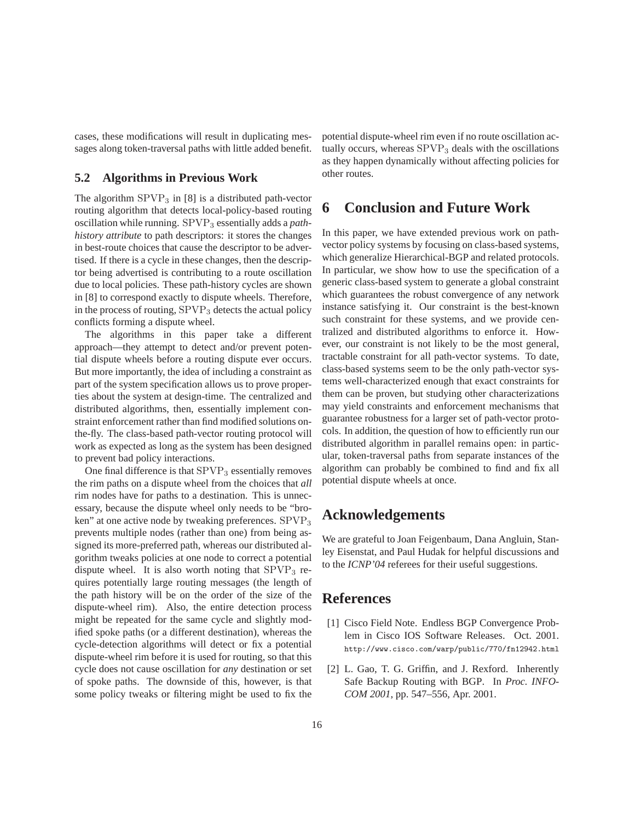cases, these modifications will result in duplicating messages along token-traversal paths with little added benefit.

#### **5.2 Algorithms in Previous Work**

The algorithm  $SPVP_3$  in [8] is a distributed path-vector routing algorithm that detects local-policy-based routing oscillation while running. SPVP<sub>3</sub> essentially adds a *pathhistory attribute* to path descriptors: it stores the changes in best-route choices that cause the descriptor to be advertised. If there is a cycle in these changes, then the descriptor being advertised is contributing to a route oscillation due to local policies. These path-history cycles are shown in [8] to correspond exactly to dispute wheels. Therefore, in the process of routing, SPVP<sup>3</sup> detects the actual policy conflicts forming a dispute wheel.

The algorithms in this paper take a different approach—they attempt to detect and/or prevent potential dispute wheels before a routing dispute ever occurs. But more importantly, the idea of including a constraint as part of the system specification allows us to prove properties about the system at design-time. The centralized and distributed algorithms, then, essentially implement constraint enforcement rather than find modified solutions onthe-fly. The class-based path-vector routing protocol will work as expected as long as the system has been designed to prevent bad policy interactions.

One final difference is that  $SPVP<sub>3</sub>$  essentially removes the rim paths on a dispute wheel from the choices that *all* rim nodes have for paths to a destination. This is unnecessary, because the dispute wheel only needs to be "broken" at one active node by tweaking preferences. SPVP<sub>3</sub> prevents multiple nodes (rather than one) from being assigned its more-preferred path, whereas our distributed algorithm tweaks policies at one node to correct a potential dispute wheel. It is also worth noting that  $SPVP<sub>3</sub>$  requires potentially large routing messages (the length of the path history will be on the order of the size of the dispute-wheel rim). Also, the entire detection process might be repeated for the same cycle and slightly modified spoke paths (or a different destination), whereas the cycle-detection algorithms will detect or fix a potential dispute-wheel rim before it is used for routing, so that this cycle does not cause oscillation for *any* destination or set of spoke paths. The downside of this, however, is that some policy tweaks or filtering might be used to fix the potential dispute-wheel rim even if no route oscillation actually occurs, whereas  $SPVP<sub>3</sub>$  deals with the oscillations as they happen dynamically without affecting policies for other routes.

### **6 Conclusion and Future Work**

In this paper, we have extended previous work on pathvector policy systems by focusing on class-based systems, which generalize Hierarchical-BGP and related protocols. In particular, we show how to use the specification of a generic class-based system to generate a global constraint which guarantees the robust convergence of any network instance satisfying it. Our constraint is the best-known such constraint for these systems, and we provide centralized and distributed algorithms to enforce it. However, our constraint is not likely to be the most general, tractable constraint for all path-vector systems. To date, class-based systems seem to be the only path-vector systems well-characterized enough that exact constraints for them can be proven, but studying other characterizations may yield constraints and enforcement mechanisms that guarantee robustness for a larger set of path-vector protocols. In addition, the question of how to efficiently run our distributed algorithm in parallel remains open: in particular, token-traversal paths from separate instances of the algorithm can probably be combined to find and fix all potential dispute wheels at once.

### **Acknowledgements**

We are grateful to Joan Feigenbaum, Dana Angluin, Stanley Eisenstat, and Paul Hudak for helpful discussions and to the *ICNP'04* referees for their useful suggestions.

### **References**

- [1] Cisco Field Note. Endless BGP Convergence Problem in Cisco IOS Software Releases. Oct. 2001. http://www.cisco.com/warp/public/770/fn12942.html
- [2] L. Gao, T. G. Griffin, and J. Rexford. Inherently Safe Backup Routing with BGP. In *Proc. INFO-COM 2001*, pp. 547–556, Apr. 2001.